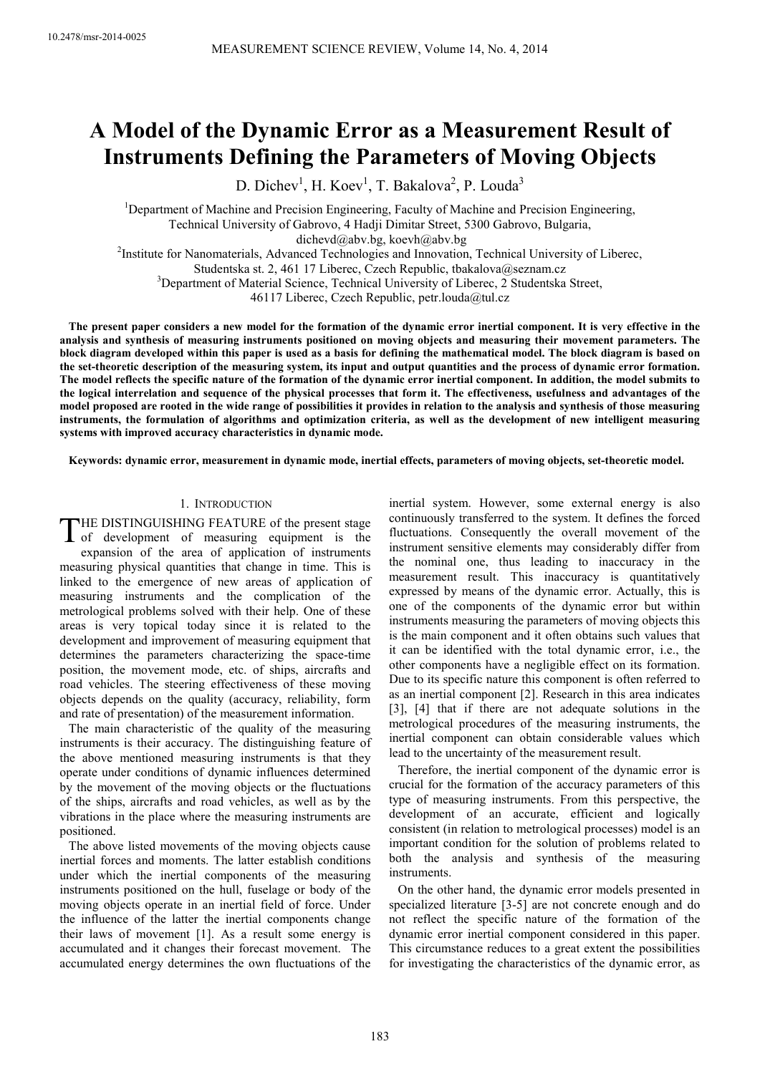# **A Model of the Dynamic Error as a Measurement Result of Instruments Defining the Parameters of Moving Objects**

D. Dichev<sup>1</sup>, H. Koev<sup>1</sup>, T. Bakalova<sup>2</sup>, P. Louda<sup>3</sup>

<sup>1</sup>Department of Machine and Precision Engineering, Faculty of Machine and Precision Engineering, Technical University of Gabrovo, 4 Hadji Dimitar Street, 5300 Gabrovo, Bulgaria, dichevd@abv.bg, koevh@abv.bg

<sup>2</sup>Institute for Nanomaterials, Advanced Technologies and Innovation, Technical University of Liberec,

Studentska st. 2, 461 17 Liberec, Czech Republic, tbakalova@seznam.cz

<sup>3</sup>Department of Material Science, Technical University of Liberec, 2 Studentska Street,

46117 Liberec, Czech Republic, petr.louda@tul.cz

**The present paper considers a new model for the formation of the dynamic error inertial component. It is very effective in the analysis and synthesis of measuring instruments positioned on moving objects and measuring their movement parameters. The block diagram developed within this paper is used as a basis for defining the mathematical model. The block diagram is based on the set-theoretic description of the measuring system, its input and output quantities and the process of dynamic error formation. The model reflects the specific nature of the formation of the dynamic error inertial component. In addition, the model submits to the logical interrelation and sequence of the physical processes that form it. The effectiveness, usefulness and advantages of the model proposed are rooted in the wide range of possibilities it provides in relation to the analysis and synthesis of those measuring instruments, the formulation of algorithms and optimization criteria, as well as the development of new intelligent measuring systems with improved accuracy characteristics in dynamic mode.** 

**Keywords: dynamic error, measurement in dynamic mode, inertial effects, parameters of moving objects, set-theoretic model.** 

#### 1. INTRODUCTION

HE DISTINGUISHING FEATURE of the present stage of development of measuring equipment is the expansion of the area of application of instruments measuring physical quantities that change in time. This is linked to the emergence of new areas of application of measuring instruments and the complication of the metrological problems solved with their help. One of these areas is very topical today since it is related to the development and improvement of measuring equipment that determines the parameters characterizing the space-time position, the movement mode, etc. of ships, aircrafts and road vehicles. The steering effectiveness of these moving objects depends on the quality (accuracy, reliability, form and rate of presentation) of the measurement information. T

The main characteristic of the quality of the measuring instruments is their accuracy. The distinguishing feature of the above mentioned measuring instruments is that they operate under conditions of dynamic influences determined by the movement of the moving objects or the fluctuations of the ships, aircrafts and road vehicles, as well as by the vibrations in the place where the measuring instruments are positioned.

The above listed movements of the moving objects cause inertial forces and moments. The latter establish conditions under which the inertial components of the measuring instruments positioned on the hull, fuselage or body of the moving objects operate in an inertial field of force. Under the influence of the latter the inertial components change their laws of movement [1]. As a result some energy is accumulated and it changes their forecast movement. The accumulated energy determines the own fluctuations of the inertial system. However, some external energy is also continuously transferred to the system. It defines the forced fluctuations. Consequently the overall movement of the instrument sensitive elements may considerably differ from the nominal one, thus leading to inaccuracy in the measurement result. This inaccuracy is quantitatively expressed by means of the dynamic error. Actually, this is one of the components of the dynamic error but within instruments measuring the parameters of moving objects this is the main component and it often obtains such values that it can be identified with the total dynamic error, i.e., the other components have a negligible effect on its formation. Due to its specific nature this component is often referred to as an inertial component [2]. Research in this area indicates [3], [4] that if there are not adequate solutions in the metrological procedures of the measuring instruments, the inertial component can obtain considerable values which lead to the uncertainty of the measurement result.

Therefore, the inertial component of the dynamic error is crucial for the formation of the accuracy parameters of this type of measuring instruments. From this perspective, the development of an accurate, efficient and logically consistent (in relation to metrological processes) model is an important condition for the solution of problems related to both the analysis and synthesis of the measuring instruments.

On the other hand, the dynamic error models presented in specialized literature [3-5] are not concrete enough and do not reflect the specific nature of the formation of the dynamic error inertial component considered in this paper. This circumstance reduces to a great extent the possibilities for investigating the characteristics of the dynamic error, as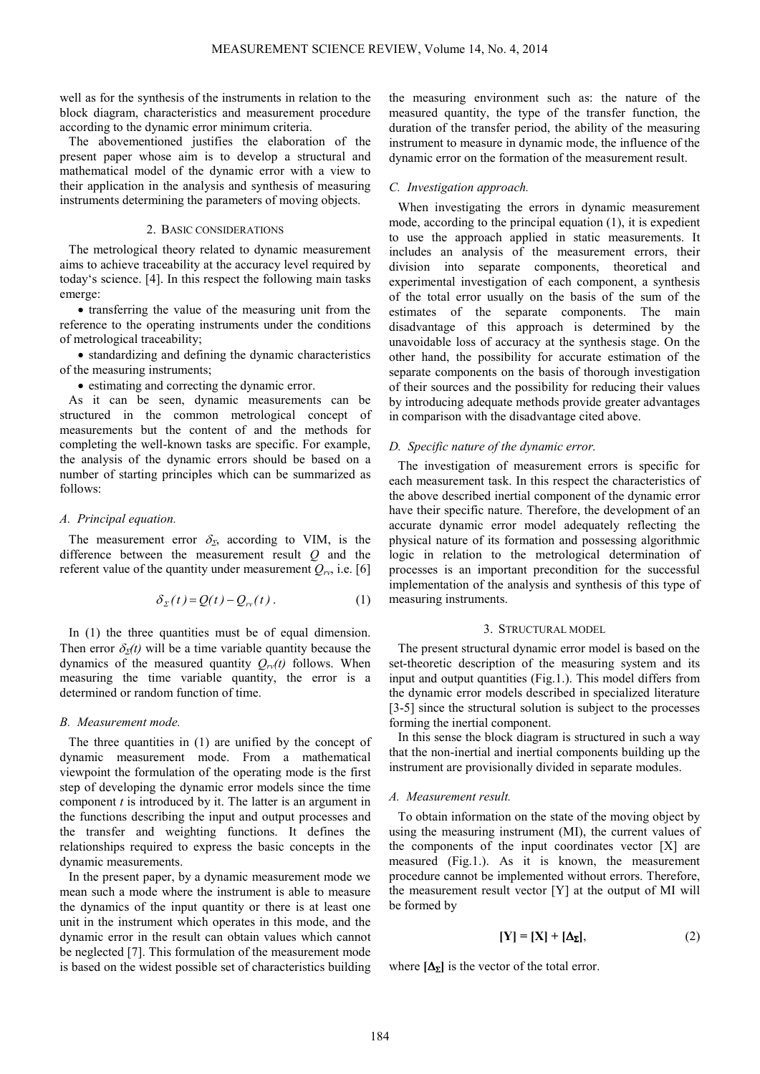well as for the synthesis of the instruments in relation to the block diagram, characteristics and measurement procedure according to the dynamic error minimum criteria.

The abovementioned justifies the elaboration of the present paper whose aim is to develop a structural and mathematical model of the dynamic error with a view to their application in the analysis and synthesis of measuring instruments determining the parameters of moving objects.

# 2. BASIC CONSIDERATIONS

The metrological theory related to dynamic measurement aims to achieve traceability at the accuracy level required by today's science. [4]. In this respect the following main tasks emerge:

• transferring the value of the measuring unit from the reference to the operating instruments under the conditions of metrological traceability;

• standardizing and defining the dynamic characteristics of the measuring instruments;

• estimating and correcting the dynamic error.

As it can be seen, dynamic measurements can be structured in the common metrological concept of measurements but the content of and the methods for completing the well-known tasks are specific. For example, the analysis of the dynamic errors should be based on a number of starting principles which can be summarized as follows:

#### *A. Principal equation.*

The measurement error  $\delta_{\Sigma}$ , according to VIM, is the difference between the measurement result *Q* and the referent value of the quantity under measurement  $Q_{rv}$ , i.e. [6]

$$
\delta_{\Sigma}(t) = Q(t) - Q_{rv}(t). \tag{1}
$$

In (1) the three quantities must be of equal dimension. Then error  $\delta_{\Sigma}(t)$  will be a time variable quantity because the dynamics of the measured quantity  $Q_{rv}(t)$  follows. When measuring the time variable quantity, the error is a determined or random function of time.

## *B. Measurement mode.*

The three quantities in (1) are unified by the concept of dynamic measurement mode. From a mathematical viewpoint the formulation of the operating mode is the first step of developing the dynamic error models since the time component *t* is introduced by it. The latter is an argument in the functions describing the input and output processes and the transfer and weighting functions. It defines the relationships required to express the basic concepts in the dynamic measurements.

In the present paper, by a dynamic measurement mode we mean such a mode where the instrument is able to measure the dynamics of the input quantity or there is at least one unit in the instrument which operates in this mode, and the dynamic error in the result can obtain values which cannot be neglected [7]. This formulation of the measurement mode is based on the widest possible set of characteristics building

the measuring environment such as: the nature of the measured quantity, the type of the transfer function, the duration of the transfer period, the ability of the measuring instrument to measure in dynamic mode, the influence of the dynamic error on the formation of the measurement result.

# *C. Investigation approach.*

When investigating the errors in dynamic measurement mode, according to the principal equation (1), it is expedient to use the approach applied in static measurements. It includes an analysis of the measurement errors, their division into separate components, theoretical and experimental investigation of each component, a synthesis of the total error usually on the basis of the sum of the estimates of the separate components. The main disadvantage of this approach is determined by the unavoidable loss of accuracy at the synthesis stage. On the other hand, the possibility for accurate estimation of the separate components on the basis of thorough investigation of their sources and the possibility for reducing their values by introducing adequate methods provide greater advantages in comparison with the disadvantage cited above.

#### *D. Specific nature of the dynamic error.*

The investigation of measurement errors is specific for each measurement task. In this respect the characteristics of the above described inertial component of the dynamic error have their specific nature. Therefore, the development of an accurate dynamic error model adequately reflecting the physical nature of its formation and possessing algorithmic logic in relation to the metrological determination of processes is an important precondition for the successful implementation of the analysis and synthesis of this type of measuring instruments.

#### 3. STRUCTURAL MODEL

The present structural dynamic error model is based on the set-theoretic description of the measuring system and its input and output quantities (Fig.1.). This model differs from the dynamic error models described in specialized literature [3-5] since the structural solution is subject to the processes forming the inertial component.

In this sense the block diagram is structured in such a way that the non-inertial and inertial components building up the instrument are provisionally divided in separate modules.

## *А. Measurement result.*

To obtain information on the state of the moving object by using the measuring instrument (MI), the current values of the components of the input coordinates vector [X] are measured (Fig.1.). As it is known, the measurement procedure cannot be implemented without errors. Therefore, the measurement result vector [Y] at the output of MI will be formed by

$$
[\mathbf{Y}] = [\mathbf{X}] + [\Delta_{\Sigma}],\tag{2}
$$

where  $[\Delta_{\Sigma}]$  is the vector of the total error.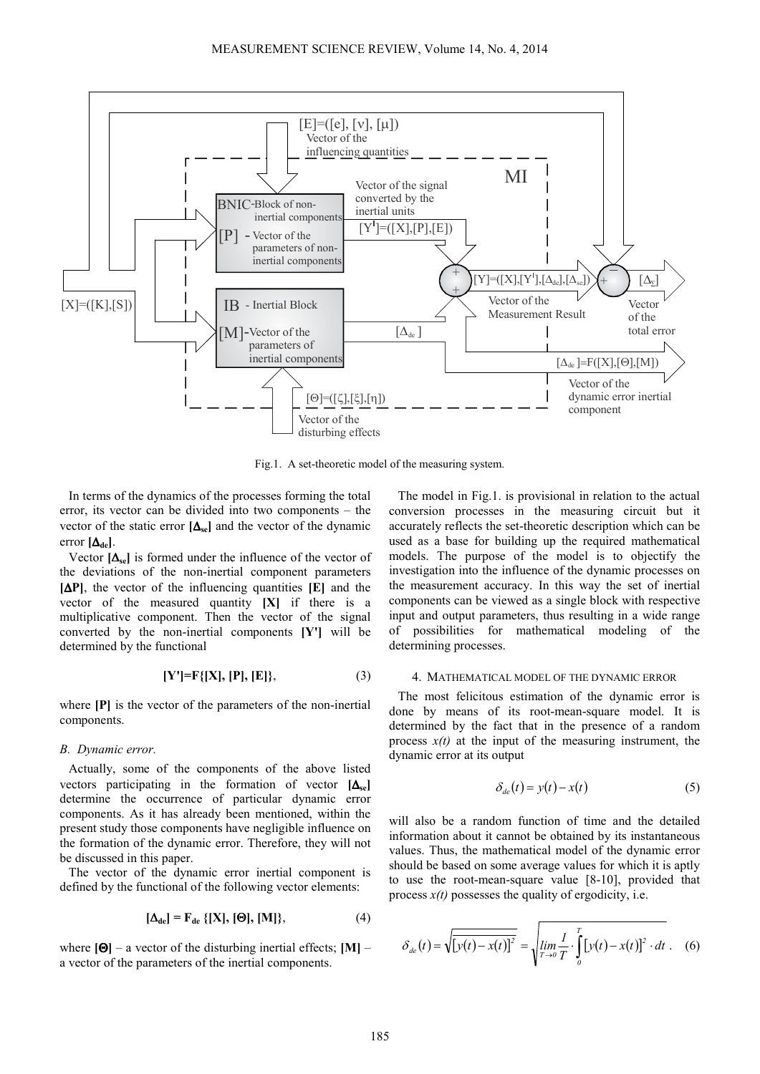

Fig.1. A set-theoretic model of the measuring system.

In terms of the dynamics of the processes forming the total error, its vector can be divided into two components – the vector of the static error **[**∆**se]** and the vector of the dynamic error  $[\Delta_{de}]$ .

Vector  $[\Delta_{se}]$  is formed under the influence of the vector of the deviations of the non-inertial component parameters **[**∆**P]**, the vector of the influencing quantities **[E]** and the vector of the measured quantity **[X]** if there is a multiplicative component. Then the vector of the signal converted by the non-inertial components **[Y']** will be determined by the functional

$$
[Y'] = F\{[X], [P], [E]\},\tag{3}
$$

where **[P]** is the vector of the parameters of the non-inertial components.

## *B. Dynamic error.*

Actually, some of the components of the above listed vectors participating in the formation of vector **[**∆**se]** determine the occurrence of particular dynamic error components. As it has already been mentioned, within the present study those components have negligible influence on the formation of the dynamic error. Therefore, they will not be discussed in this paper.

The vector of the dynamic error inertial component is defined by the functional of the following vector elements:

$$
[\Delta_{\text{de}}] = \mathbf{F}_{\text{de}} \{ [\mathbf{X}], [\Theta], [\mathbf{M}] \}, \tag{4}
$$

where **[**Θ**]** – a vector of the disturbing inertial effects; **[M]** – a vector of the parameters of the inertial components.

The model in Fig.1. is provisional in relation to the actual conversion processes in the measuring circuit but it accurately reflects the set-theoretic description which can be used as a base for building up the required mathematical models. The purpose of the model is to objectify the investigation into the influence of the dynamic processes on the measurement accuracy. In this way the set of inertial components can be viewed as a single block with respective input and output parameters, thus resulting in a wide range of possibilities for mathematical modeling of the determining processes.

# 4. MATHEMATICAL MODEL OF THE DYNAMIC ERROR

The most felicitous estimation of the dynamic error is done by means of its root-mean-square model. It is determined by the fact that in the presence of a random process  $x(t)$  at the input of the measuring instrument, the dynamic error at its output

$$
\delta_{de}(t) = y(t) - x(t) \tag{5}
$$

will also be a random function of time and the detailed information about it cannot be obtained by its instantaneous values. Thus, the mathematical model of the dynamic error should be based on some average values for which it is aptly to use the root-mean-square value [8-10], provided that process  $x(t)$  possesses the quality of ergodicity, i.e.

$$
\delta_{de}(t) = \sqrt{\overline{\left[y(t) - x(t)\right]^2}} = \sqrt{\lim_{T \to 0} \frac{1}{T} \cdot \int_{0}^{T} \left[y(t) - x(t)\right]^2 \cdot dt}.
$$
 (6)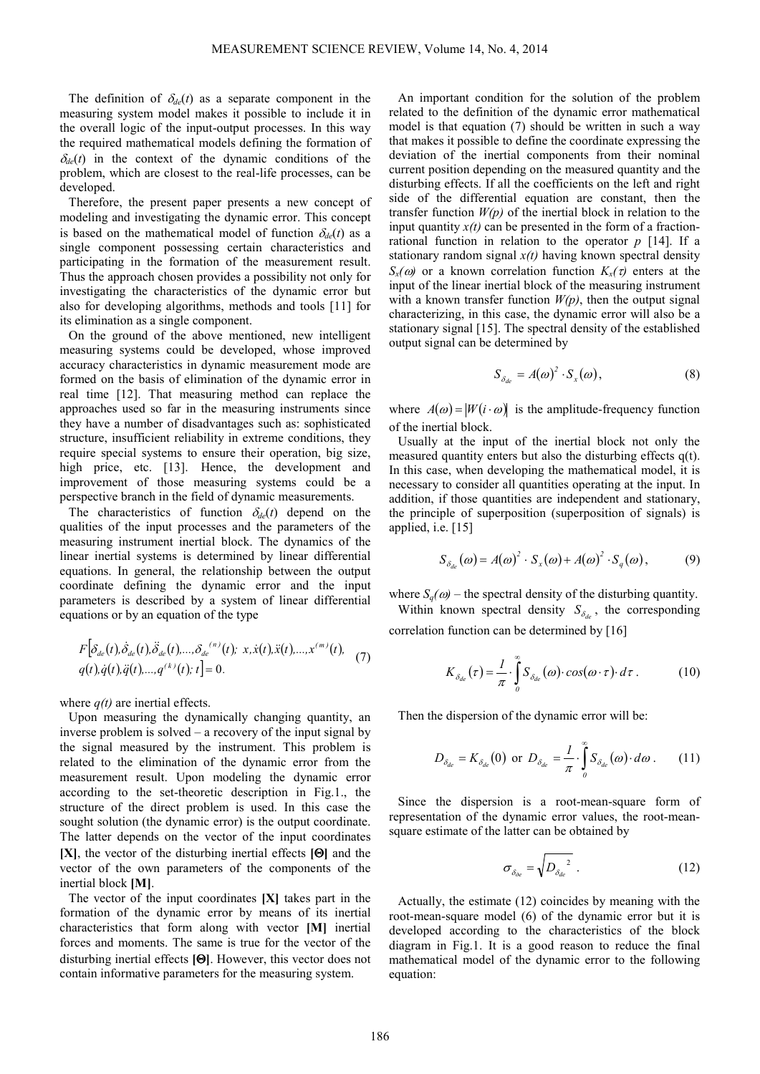The definition of  $\delta_{de}(t)$  as a separate component in the measuring system model makes it possible to include it in the overall logic of the input-output processes. In this way the required mathematical models defining the formation of  $\delta_{de}(t)$  in the context of the dynamic conditions of the problem, which are closest to the real-life processes, can be developed.

Therefore, the present paper presents a new concept of modeling and investigating the dynamic error. This concept is based on the mathematical model of function  $\delta_{d}(\ell)$  as a single component possessing certain characteristics and participating in the formation of the measurement result. Thus the approach chosen provides a possibility not only for investigating the characteristics of the dynamic error but also for developing algorithms, methods and tools [11] for its elimination as a single component.

On the ground of the above mentioned, new intelligent measuring systems could be developed, whose improved accuracy characteristics in dynamic measurement mode are formed on the basis of elimination of the dynamic error in real time [12]. That measuring method can replace the approaches used so far in the measuring instruments since they have a number of disadvantages such as: sophisticated structure, insufficient reliability in extreme conditions, they require special systems to ensure their operation, big size, high price, etc. [13]. Hence, the development and improvement of those measuring systems could be a perspective branch in the field of dynamic measurements.

The characteristics of function  $\delta_{d}(\tau)$  depend on the qualities of the input processes and the parameters of the measuring instrument inertial block. The dynamics of the linear inertial systems is determined by linear differential equations. In general, the relationship between the output coordinate defining the dynamic error and the input parameters is described by a system of linear differential equations or by an equation of the type

$$
F\Big[\delta_{de}(t), \dot{\delta}_{de}(t), \ddot{\delta}_{de}(t), \ddot{\delta}_{de}(t), ..., \delta_{de}^{(n)}(t); x, \dot{x}(t), \ddot{x}(t), ..., x^{(m)}(t),
$$
  
q(t),  $\dot{q}(t), \ddot{q}(t), ..., q^{(k)}(t); t\Big] = 0.$  (7)

where  $q(t)$  are inertial effects.

Upon measuring the dynamically changing quantity, an inverse problem is solved – a recovery of the input signal by the signal measured by the instrument. This problem is related to the elimination of the dynamic error from the measurement result. Upon modeling the dynamic error according to the set-theoretic description in Fig.1., the structure of the direct problem is used. In this case the sought solution (the dynamic error) is the output coordinate. The latter depends on the vector of the input coordinates **[X]**, the vector of the disturbing inertial effects **[**Θ**]** and the vector of the own parameters of the components of the inertial block **[M]**.

The vector of the input coordinates **[X]** takes part in the formation of the dynamic error by means of its inertial characteristics that form along with vector **[M]** inertial forces and moments. The same is true for the vector of the disturbing inertial effects **[**Θ**]**. However, this vector does not contain informative parameters for the measuring system.

An important condition for the solution of the problem related to the definition of the dynamic error mathematical model is that equation (7) should be written in such a way that makes it possible to define the coordinate expressing the deviation of the inertial components from their nominal current position depending on the measured quantity and the disturbing effects. If all the coefficients on the left and right side of the differential equation are constant, then the transfer function  $W(p)$  of the inertial block in relation to the input quantity  $x(t)$  can be presented in the form of a fractionrational function in relation to the operator  $p$  [14]. If a stationary random signal *x(t)* having known spectral density *S<sub>x</sub>*( $\omega$ ) or a known correlation function  $K_x(\tau)$  enters at the input of the linear inertial block of the measuring instrument with a known transfer function  $W(p)$ , then the output signal characterizing, in this case, the dynamic error will also be a stationary signal [15]. The spectral density of the established output signal can be determined by

$$
S_{\delta_{de}} = A(\omega)^2 \cdot S_x(\omega), \qquad (8)
$$

where  $A(\omega) = |W(i \cdot \omega)|$  is the amplitude-frequency function of the inertial block.

Usually at the input of the inertial block not only the measured quantity enters but also the disturbing effects q(t). In this case, when developing the mathematical model, it is necessary to consider all quantities operating at the input. In addition, if those quantities are independent and stationary, the principle of superposition (superposition of signals) is applied, i.e. [15]

$$
S_{\delta_{de}}(\omega) = A(\omega)^2 \cdot S_x(\omega) + A(\omega)^2 \cdot S_q(\omega), \tag{9}
$$

where  $S_q(\omega)$  – the spectral density of the disturbing quantity.

Within known spectral density  $S_{\delta_{de}}$ , the corresponding correlation function can be determined by [16]

$$
K_{\delta_{de}}(\tau) = \frac{1}{\pi} \cdot \int_{0}^{\infty} S_{\delta_{de}}(\omega) \cdot \cos(\omega \cdot \tau) \cdot d\tau \,. \tag{10}
$$

Then the dispersion of the dynamic error will be:

$$
D_{\delta_{de}} = K_{\delta_{de}}(0) \text{ or } D_{\delta_{de}} = \frac{1}{\pi} \cdot \int_{0}^{\infty} S_{\delta_{de}}(\omega) \cdot d\omega. \qquad (11)
$$

Since the dispersion is a root-mean-square form of representation of the dynamic error values, the root-meansquare estimate of the latter can be obtained by

$$
\sigma_{\delta_{oe}} = \sqrt{D_{\delta_{de}}^2} \tag{12}
$$

Actually, the estimate (12) coincides by meaning with the root-mean-square model (6) of the dynamic error but it is developed according to the characteristics of the block diagram in Fig.1. It is a good reason to reduce the final mathematical model of the dynamic error to the following equation: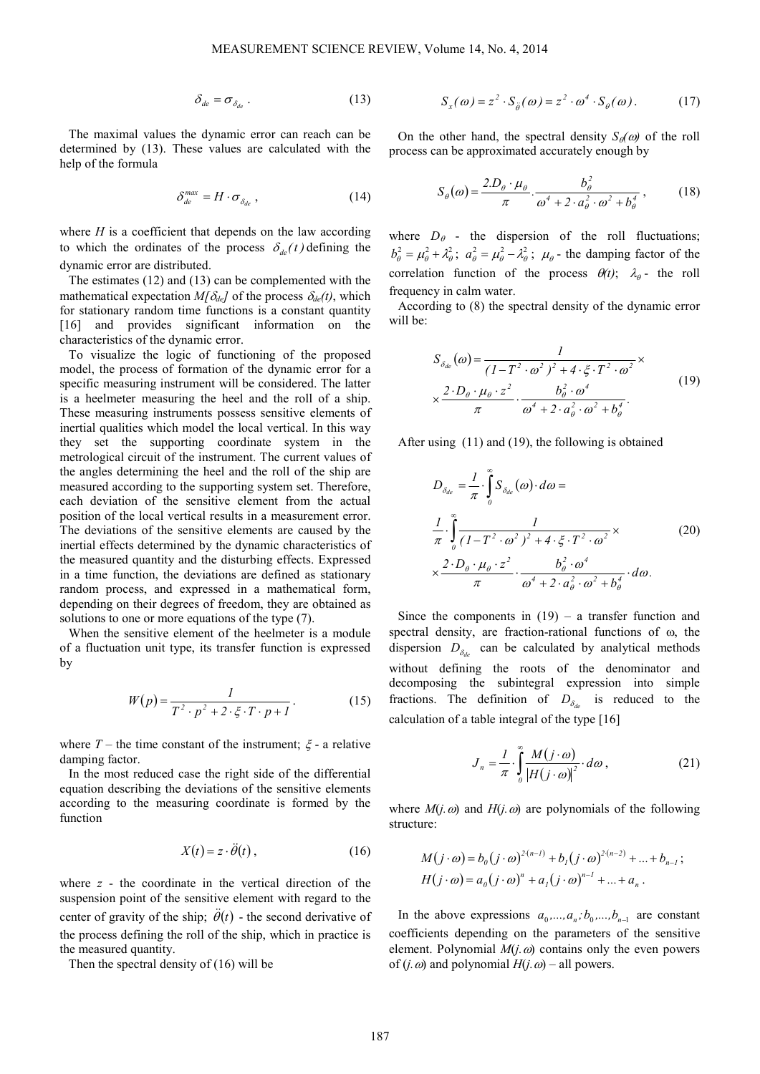$$
\delta_{de} = \sigma_{\delta_{de}} \,. \tag{13}
$$

The maximal values the dynamic error can reach can be determined by (13). These values are calculated with the help of the formula

$$
\delta_{de}^{max} = H \cdot \sigma_{\delta_{de}} \,, \tag{14}
$$

where *H* is a coefficient that depends on the law according to which the ordinates of the process  $\delta_{de}(t)$  defining the dynamic error are distributed.

The estimates (12) and (13) can be complemented with the mathematical expectation  $M/\delta_{de}$  of the process  $\delta_{de}(t)$ , which for stationary random time functions is a constant quantity [16] and provides significant information on the characteristics of the dynamic error.

To visualize the logic of functioning of the proposed model, the process of formation of the dynamic error for a specific measuring instrument will be considered. The latter is a heelmeter measuring the heel and the roll of a ship. These measuring instruments possess sensitive elements of inertial qualities which model the local vertical. In this way they set the supporting coordinate system in the metrological circuit of the instrument. The current values of the angles determining the heel and the roll of the ship are measured according to the supporting system set. Therefore, each deviation of the sensitive element from the actual position of the local vertical results in a measurement error. The deviations of the sensitive elements are caused by the inertial effects determined by the dynamic characteristics of the measured quantity and the disturbing effects. Expressed in a time function, the deviations are defined as stationary random process, and expressed in a mathematical form, depending on their degrees of freedom, they are obtained as solutions to one or more equations of the type (7).

When the sensitive element of the heelmeter is a module of a fluctuation unit type, its transfer function is expressed by

$$
W(p) = \frac{1}{T^2 \cdot p^2 + 2 \cdot \xi \cdot T \cdot p + 1}.
$$
 (15)

where  $T$  – the time constant of the instrument;  $\xi$  - a relative damping factor.

In the most reduced case the right side of the differential equation describing the deviations of the sensitive elements according to the measuring coordinate is formed by the function

$$
X(t) = z \cdot \ddot{\theta}(t) , \qquad (16)
$$

where *z* - the coordinate in the vertical direction of the suspension point of the sensitive element with regard to the center of gravity of the ship;  $\ddot{\theta}(t)$  - the second derivative of the process defining the roll of the ship, which in practice is the measured quantity.

Then the spectral density of (16) will be

$$
S_x(\omega) = z^2 \cdot S_{\hat{\theta}}(\omega) = z^2 \cdot \omega^4 \cdot S_{\theta}(\omega). \tag{17}
$$

On the other hand, the spectral density  $S_{\theta}(\omega)$  of the roll process can be approximated accurately enough by

$$
S_{\theta}(\omega) = \frac{2.D_{\theta} \cdot \mu_{\theta}}{\pi} \cdot \frac{b_{\theta}^{2}}{\omega^{4} + 2 \cdot a_{\theta}^{2} \cdot \omega^{2} + b_{\theta}^{4}},
$$
 (18)

where  $D_{\theta}$  - the dispersion of the roll fluctuations;  $b_{\theta}^2 = \mu_{\theta}^2 + \lambda_{\theta}^2$ ;  $a_{\theta}^2 = \mu_{\theta}^2 - \lambda_{\theta}^2$ ;  $\mu_{\theta}$  - the damping factor of the correlation function of the process  $\theta(t)$ ;  $\lambda_{\theta}$  - the roll frequency in calm water.

According to (8) the spectral density of the dynamic error will be:

$$
S_{\delta_{de}}(\omega) = \frac{1}{(1 - T^2 \cdot \omega^2)^2 + 4 \cdot \xi \cdot T^2 \cdot \omega^2} \times \frac{2 \cdot D_\theta \cdot \mu_\theta \cdot z^2}{\pi} \cdot \frac{b_\theta^2 \cdot \omega^4}{\omega^4 + 2 \cdot a_\theta^2 \cdot \omega^2 + b_\theta^4}.
$$
 (19)

After using (11) and (19), the following is obtained

$$
D_{\delta_{de}} = \frac{1}{\pi} \cdot \int_{0}^{\infty} S_{\delta_{de}}(\omega) \cdot d\omega =
$$
\n
$$
\frac{1}{\pi} \cdot \int_{0}^{\infty} \frac{1}{(1 - T^2 \cdot \omega^2)^2 + 4 \cdot \xi \cdot T^2 \cdot \omega^2} \times \frac{2 \cdot D_{\theta} \cdot \mu_{\theta} \cdot z^2}{\pi} \cdot \frac{b_{\theta}^2 \cdot \omega^4}{\omega^4 + 2 \cdot a_{\theta}^2 \cdot \omega^2 + b_{\theta}^4} \cdot d\omega.
$$
\n(20)

Since the components in  $(19)$  – a transfer function and spectral density, are fraction-rational functions of ω, the dispersion  $D_{\delta_{de}}$  can be calculated by analytical methods without defining the roots of the denominator and decomposing the subintegral expression into simple fractions. The definition of  $D_{\delta_{de}}$  is reduced to the calculation of a table integral of the type [16]

$$
J_n = \frac{1}{\pi} \cdot \int_0^\infty \frac{M(j \cdot \omega)}{|H(j \cdot \omega)|^2} \cdot d\omega, \qquad (21)
$$

where  $M(i, \omega)$  and  $H(i, \omega)$  are polynomials of the following structure:

$$
M(j \cdot \omega) = b_0(j \cdot \omega)^{2(n-l)} + b_1(j \cdot \omega)^{2(n-2)} + \dots + b_{n-l};
$$
  
\n
$$
H(j \cdot \omega) = a_0(j \cdot \omega)^n + a_1(j \cdot \omega)^{n-l} + \dots + a_n.
$$

In the above expressions  $a_0$ ,..., $a_n$ ;  $b_0$ ,..., $b_{n-1}$  are constant coefficients depending on the parameters of the sensitive element. Polynomial  $M(i, \omega)$  contains only the even powers of  $(i, \omega)$  and polynomial  $H(i, \omega)$  – all powers.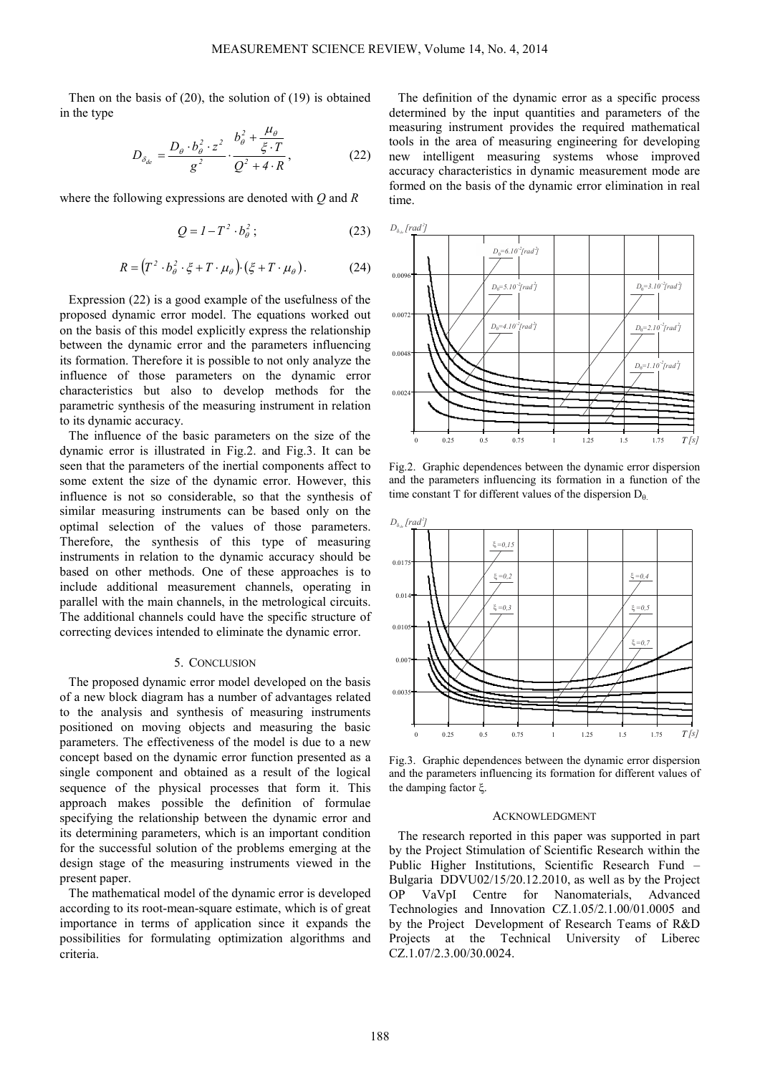Then on the basis of (20), the solution of (19) is obtained in the type

$$
D_{\delta_{de}} = \frac{D_{\theta} \cdot b_{\theta}^2 \cdot z^2}{g^2} \cdot \frac{b_{\theta}^2 + \frac{\mu_{\theta}}{\xi \cdot T}}{Q^2 + 4 \cdot R},
$$
 (22)

where the following expressions are denoted with *Q* and *R*

$$
Q = I - T^2 \cdot b_\theta^2; \tag{23}
$$

$$
R = (T^2 \cdot b_\theta^2 \cdot \xi + T \cdot \mu_\theta) \cdot (\xi + T \cdot \mu_\theta). \tag{24}
$$

Expression (22) is a good example of the usefulness of the proposed dynamic error model. The equations worked out on the basis of this model explicitly express the relationship between the dynamic error and the parameters influencing its formation. Therefore it is possible to not only analyze the influence of those parameters on the dynamic error characteristics but also to develop methods for the parametric synthesis of the measuring instrument in relation to its dynamic accuracy.

The influence of the basic parameters on the size of the dynamic error is illustrated in Fig.2. and Fig.3. It can be seen that the parameters of the inertial components affect to some extent the size of the dynamic error. However, this influence is not so considerable, so that the synthesis of similar measuring instruments can be based only on the optimal selection of the values of those parameters. Therefore, the synthesis of this type of measuring instruments in relation to the dynamic accuracy should be based on other methods. One of these approaches is to include additional measurement channels, operating in parallel with the main channels, in the metrological circuits. The additional channels could have the specific structure of correcting devices intended to eliminate the dynamic error.

# 5. CONCLUSION

The proposed dynamic error model developed on the basis of a new block diagram has a number of advantages related to the analysis and synthesis of measuring instruments positioned on moving objects and measuring the basic parameters. The effectiveness of the model is due to a new concept based on the dynamic error function presented as a single component and obtained as a result of the logical sequence of the physical processes that form it. This approach makes possible the definition of formulae specifying the relationship between the dynamic error and its determining parameters, which is an important condition for the successful solution of the problems emerging at the design stage of the measuring instruments viewed in the present paper.

The mathematical model of the dynamic error is developed according to its root-mean-square estimate, which is of great importance in terms of application since it expands the possibilities for formulating optimization algorithms and criteria.

The definition of the dynamic error as a specific process determined by the input quantities and parameters of the measuring instrument provides the required mathematical tools in the area of measuring engineering for developing new intelligent measuring systems whose improved accuracy characteristics in dynamic measurement mode are formed on the basis of the dynamic error elimination in real time.



Fig.2. Graphic dependences between the dynamic error dispersion and the parameters influencing its formation in a function of the time constant T for different values of the dispersion  $D_{\theta}$ 



Fig.3. Graphic dependences between the dynamic error dispersion and the parameters influencing its formation for different values of the damping factor ξ.

#### ACKNOWLEDGMENT

The research reported in this paper was supported in part by the Project Stimulation of Scientific Research within the Public Higher Institutions, Scientific Research Fund – Bulgaria DDVU02/15/20.12.2010, as well as by the Project OP VaVpI Centre for Nanomaterials, Advanced Technologies and Innovation CZ.1.05/2.1.00/01.0005 and by the Project Development of Research Teams of R&D Projects at the Technical University of Liberec CZ.1.07/2.3.00/30.0024.